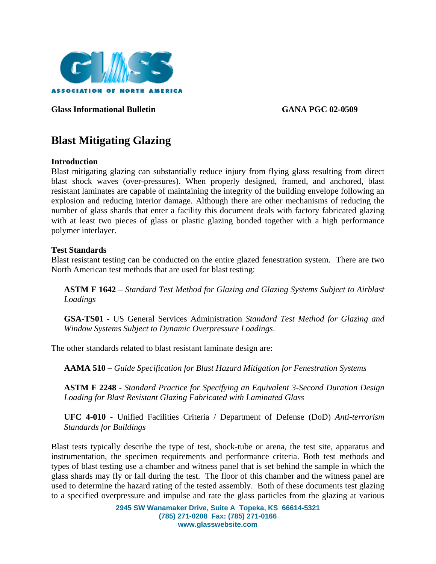

**Glass Informational Bulletin GANA PGC 02-0509** 

# **Blast Mitigating Glazing**

#### **Introduction**

Blast mitigating glazing can substantially reduce injury from flying glass resulting from direct blast shock waves (over-pressures). When properly designed, framed, and anchored, blast resistant laminates are capable of maintaining the integrity of the building envelope following an explosion and reducing interior damage. Although there are other mechanisms of reducing the number of glass shards that enter a facility this document deals with factory fabricated glazing with at least two pieces of glass or plastic glazing bonded together with a high performance polymer interlayer.

#### **Test Standards**

Blast resistant testing can be conducted on the entire glazed fenestration system. There are two North American test methods that are used for blast testing:

**ASTM F 1642** – *Standard Test Method for Glazing and Glazing Systems Subject to Airblast Loadings*

**GSA-TS01 -** US General Services Administration *Standard Test Method for Glazing and Window Systems Subject to Dynamic Overpressure Loadings*.

The other standards related to blast resistant laminate design are:

**AAMA 510 –** *Guide Specification for Blast Hazard Mitigation for Fenestration Systems*

**ASTM F 2248 -** *Standard Practice for Specifying an Equivalent 3-Second Duration Design Loading for Blast Resistant Glazing Fabricated with Laminated Glass* 

**UFC 4-010** - Unified Facilities Criteria / Department of Defense (DoD) *Anti-terrorism Standards for Buildings* 

Blast tests typically describe the type of test, shock-tube or arena, the test site, apparatus and instrumentation, the specimen requirements and performance criteria. Both test methods and types of blast testing use a chamber and witness panel that is set behind the sample in which the glass shards may fly or fall during the test. The floor of this chamber and the witness panel are used to determine the hazard rating of the tested assembly. Both of these documents test glazing to a specified overpressure and impulse and rate the glass particles from the glazing at various

> **2945 SW Wanamaker Drive, Suite A Topeka, KS 66614-5321 (785) 271-0208 Fax: (785) 271-0166 www.glasswebsite.com**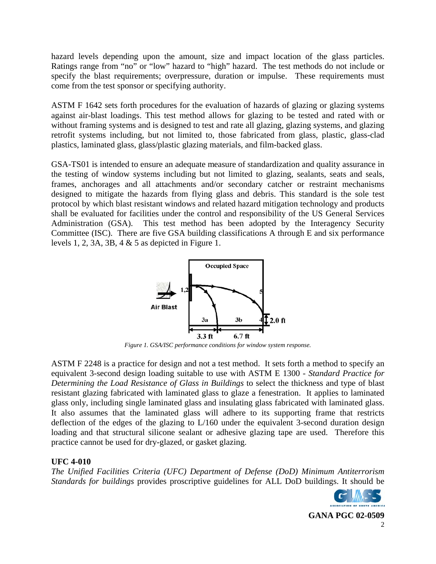hazard levels depending upon the amount, size and impact location of the glass particles. Ratings range from "no" or "low" hazard to "high" hazard. The test methods do not include or specify the blast requirements; overpressure, duration or impulse. These requirements must come from the test sponsor or specifying authority.

ASTM F 1642 sets forth procedures for the evaluation of hazards of glazing or glazing systems against air-blast loadings. This test method allows for glazing to be tested and rated with or without framing systems and is designed to test and rate all glazing, glazing systems, and glazing retrofit systems including, but not limited to, those fabricated from glass, plastic, glass-clad plastics, laminated glass, glass/plastic glazing materials, and film-backed glass.

GSA-TS01 is intended to ensure an adequate measure of standardization and quality assurance in the testing of window systems including but not limited to glazing, sealants, seats and seals, frames, anchorages and all attachments and/or secondary catcher or restraint mechanisms designed to mitigate the hazards from flying glass and debris. This standard is the sole test protocol by which blast resistant windows and related hazard mitigation technology and products shall be evaluated for facilities under the control and responsibility of the US General Services Administration (GSA). This test method has been adopted by the Interagency Security Committee (ISC). There are five GSA building classifications A through E and six performance levels 1, 2, 3A, 3B, 4  $\&$  5 as depicted in Figure 1.



*Figure 1. GSA/ISC performance conditions for window system response.* 

ASTM F 2248 is a practice for design and not a test method. It sets forth a method to specify an equivalent 3-second design loading suitable to use with ASTM E 1300 - *Standard Practice for Determining the Load Resistance of Glass in Buildings* to select the thickness and type of blast resistant glazing fabricated with laminated glass to glaze a fenestration. It applies to laminated glass only, including single laminated glass and insulating glass fabricated with laminated glass. It also assumes that the laminated glass will adhere to its supporting frame that restricts deflection of the edges of the glazing to L/160 under the equivalent 3-second duration design loading and that structural silicone sealant or adhesive glazing tape are used. Therefore this practice cannot be used for dry-glazed, or gasket glazing.

# **UFC 4-010**

*The Unified Facilities Criteria (UFC) Department of Defense (DoD) Minimum Antiterrorism Standards for buildings* provides proscriptive guidelines for ALL DoD buildings. It should be